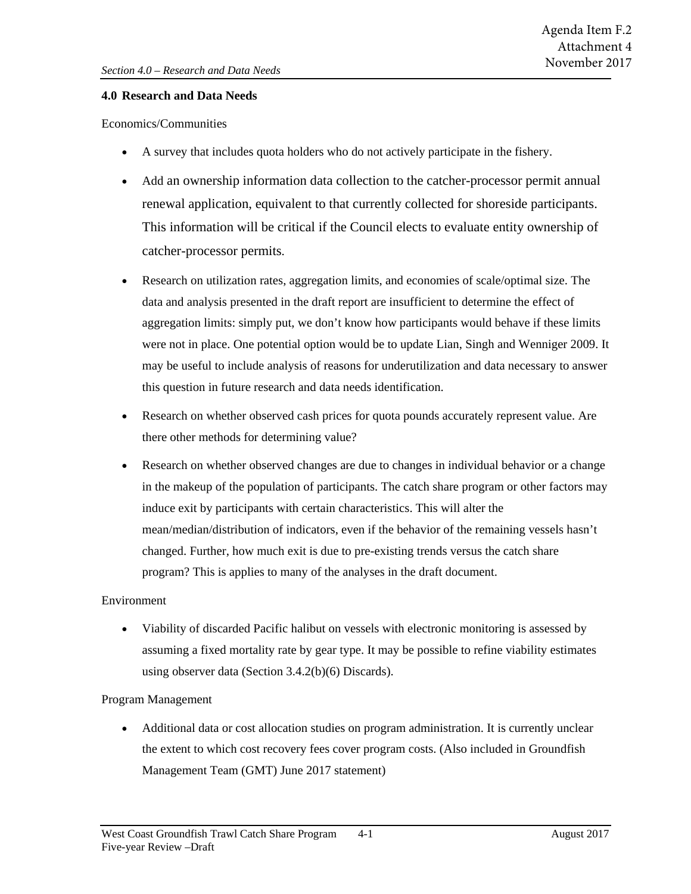# **4.0 Research and Data Needs**

Economics/Communities

- A survey that includes quota holders who do not actively participate in the fishery.
- Add an ownership information data collection to the catcher-processor permit annual renewal application, equivalent to that currently collected for shoreside participants. This information will be critical if the Council elects to evaluate entity ownership of catcher-processor permits.
- Research on utilization rates, aggregation limits, and economies of scale/optimal size. The data and analysis presented in the draft report are insufficient to determine the effect of aggregation limits: simply put, we don't know how participants would behave if these limits were not in place. One potential option would be to update Lian, Singh and Wenniger 2009. It may be useful to include analysis of reasons for underutilization and data necessary to answer this question in future research and data needs identification.
- Research on whether observed cash prices for quota pounds accurately represent value. Are there other methods for determining value?
- Research on whether observed changes are due to changes in individual behavior or a change in the makeup of the population of participants. The catch share program or other factors may induce exit by participants with certain characteristics. This will alter the mean/median/distribution of indicators, even if the behavior of the remaining vessels hasn't changed. Further, how much exit is due to pre-existing trends versus the catch share program? This is applies to many of the analyses in the draft document.

# Environment

• Viability of discarded Pacific halibut on vessels with electronic monitoring is assessed by assuming a fixed mortality rate by gear type. It may be possible to refine viability estimates using observer data (Section 3.4.2(b)(6) Discards).

# Program Management

• Additional data or cost allocation studies on program administration. It is currently unclear the extent to which cost recovery fees cover program costs. (Also included in Groundfish Management Team (GMT) June 2017 statement)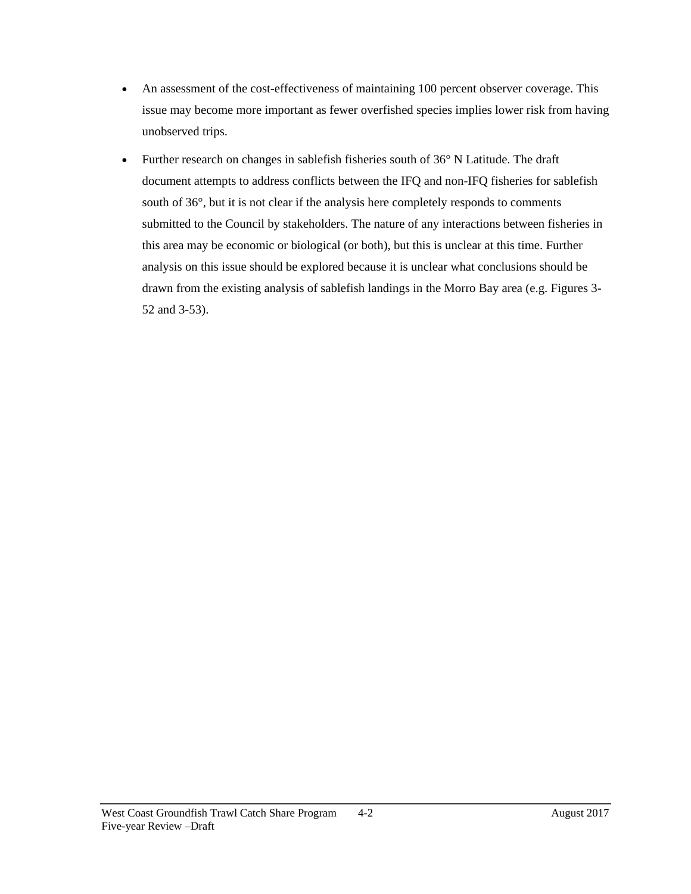- An assessment of the cost-effectiveness of maintaining 100 percent observer coverage. This issue may become more important as fewer overfished species implies lower risk from having unobserved trips.
- Further research on changes in sable fisheries south of 36° N Latitude. The draft document attempts to address conflicts between the IFQ and non-IFQ fisheries for sablefish south of 36°, but it is not clear if the analysis here completely responds to comments submitted to the Council by stakeholders. The nature of any interactions between fisheries in this area may be economic or biological (or both), but this is unclear at this time. Further analysis on this issue should be explored because it is unclear what conclusions should be drawn from the existing analysis of sablefish landings in the Morro Bay area (e.g. Figures 3- 52 and 3-53).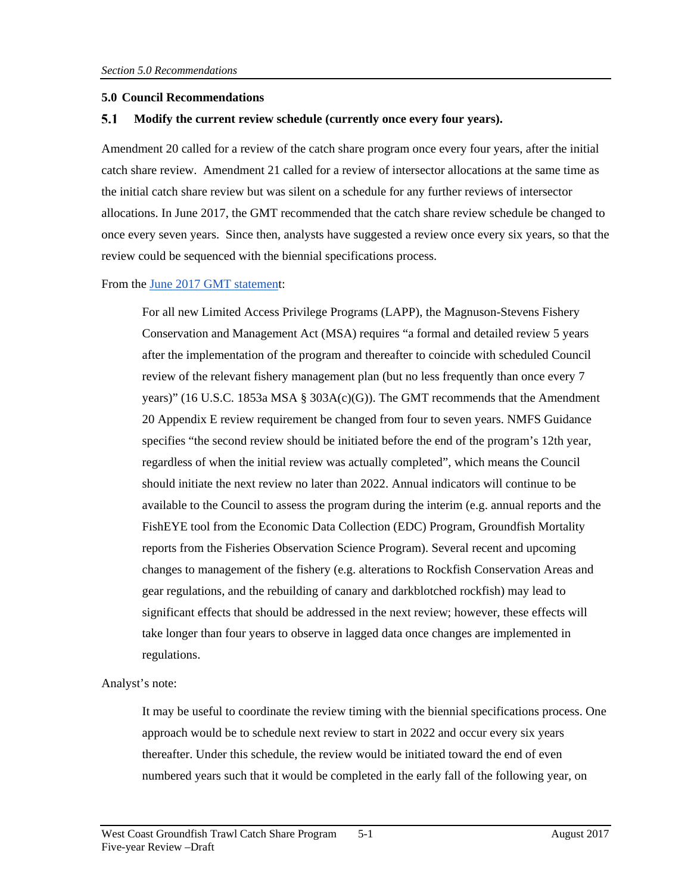## **5.0 Council Recommendations**

#### 5.1 **Modify the current review schedule (currently once every four years).**

Amendment 20 called for a review of the catch share program once every four years, after the initial catch share review. Amendment 21 called for a review of intersector allocations at the same time as the initial catch share review but was silent on a schedule for any further reviews of intersector allocations. In June 2017, the GMT recommended that the catch share review schedule be changed to once every seven years. Since then, analysts have suggested a review once every six years, so that the review could be sequenced with the biennial specifications process.

## From the [June 2017 GMT statement](http://www.pcouncil.org/wp-content/uploads/2017/06/F2c_Sup_GMT_Rpt_Jun2017BB.pdf):

For all new Limited Access Privilege Programs (LAPP), the Magnuson-Stevens Fishery Conservation and Management Act (MSA) requires "a formal and detailed review 5 years after the implementation of the program and thereafter to coincide with scheduled Council review of the relevant fishery management plan (but no less frequently than once every 7 years)" (16 U.S.C. 1853a MSA § 303A(c)(G)). The GMT recommends that the Amendment 20 Appendix E review requirement be changed from four to seven years. NMFS Guidance specifies "the second review should be initiated before the end of the program's 12th year, regardless of when the initial review was actually completed", which means the Council should initiate the next review no later than 2022. Annual indicators will continue to be available to the Council to assess the program during the interim (e.g. annual reports and the FishEYE tool from the Economic Data Collection (EDC) Program, Groundfish Mortality reports from the Fisheries Observation Science Program). Several recent and upcoming changes to management of the fishery (e.g. alterations to Rockfish Conservation Areas and gear regulations, and the rebuilding of canary and darkblotched rockfish) may lead to significant effects that should be addressed in the next review; however, these effects will take longer than four years to observe in lagged data once changes are implemented in regulations.

Analyst's note:

It may be useful to coordinate the review timing with the biennial specifications process. One approach would be to schedule next review to start in 2022 and occur every six years thereafter. Under this schedule, the review would be initiated toward the end of even numbered years such that it would be completed in the early fall of the following year, on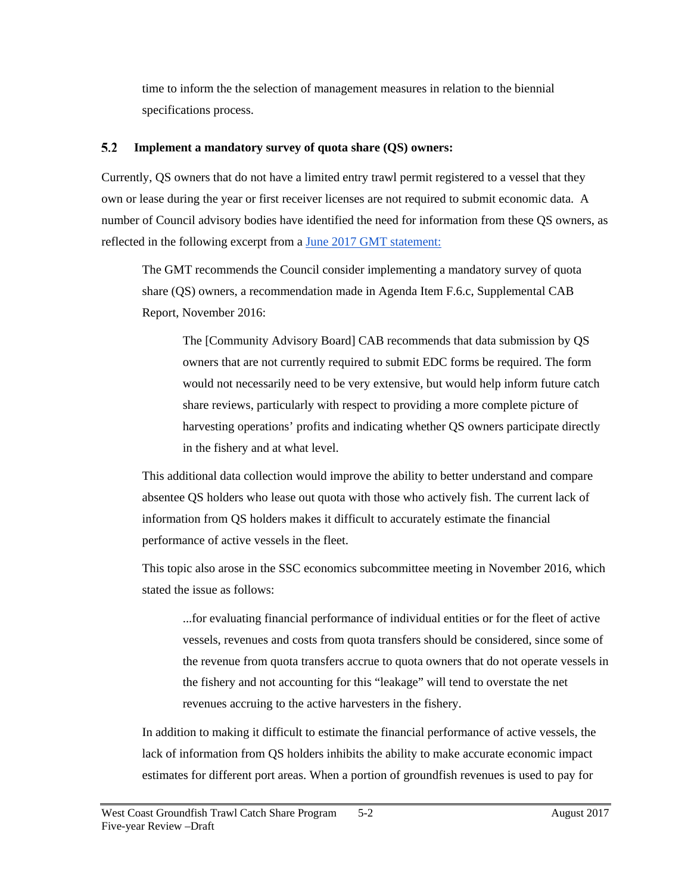time to inform the the selection of management measures in relation to the biennial specifications process.

#### $5.2$ **Implement a mandatory survey of quota share (QS) owners:**

Currently, QS owners that do not have a limited entry trawl permit registered to a vessel that they own or lease during the year or first receiver licenses are not required to submit economic data. A number of Council advisory bodies have identified the need for information from these QS owners, as reflected in the following excerpt from a [June 2017 GMT statement:](http://www.pcouncil.org/wp-content/uploads/2017/06/F2c_Sup_GMT_Rpt_Jun2017BB.pdf)

The GMT recommends the Council consider implementing a mandatory survey of quota share (QS) owners, a recommendation made in Agenda Item F.6.c, Supplemental CAB Report, November 2016:

The [Community Advisory Board] CAB recommends that data submission by QS owners that are not currently required to submit EDC forms be required. The form would not necessarily need to be very extensive, but would help inform future catch share reviews, particularly with respect to providing a more complete picture of harvesting operations' profits and indicating whether QS owners participate directly in the fishery and at what level.

This additional data collection would improve the ability to better understand and compare absentee QS holders who lease out quota with those who actively fish. The current lack of information from QS holders makes it difficult to accurately estimate the financial performance of active vessels in the fleet.

This topic also arose in the SSC economics subcommittee meeting in November 2016, which stated the issue as follows:

...for evaluating financial performance of individual entities or for the fleet of active vessels, revenues and costs from quota transfers should be considered, since some of the revenue from quota transfers accrue to quota owners that do not operate vessels in the fishery and not accounting for this "leakage" will tend to overstate the net revenues accruing to the active harvesters in the fishery.

In addition to making it difficult to estimate the financial performance of active vessels, the lack of information from QS holders inhibits the ability to make accurate economic impact estimates for different port areas. When a portion of groundfish revenues is used to pay for